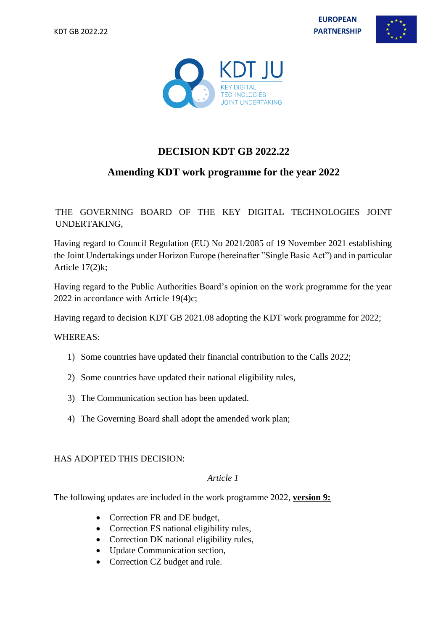**EUROPEAN PARTNERSHIP**





# **DECISION KDT GB 2022.22**

## **Amending KDT work programme for the year 2022**

### THE GOVERNING BOARD OF THE KEY DIGITAL TECHNOLOGIES JOINT UNDERTAKING,

Having regard to Council Regulation (EU) No 2021/2085 of 19 November 2021 establishing the Joint Undertakings under Horizon Europe (hereinafter "Single Basic Act") and in particular Article 17(2)k;

Having regard to the Public Authorities Board's opinion on the work programme for the year 2022 in accordance with Article 19(4)c;

Having regard to decision KDT GB 2021.08 adopting the KDT work programme for 2022;

#### WHEREAS:

- 1) Some countries have updated their financial contribution to the Calls 2022;
- 2) Some countries have updated their national eligibility rules,
- 3) The Communication section has been updated.
- 4) The Governing Board shall adopt the amended work plan;

#### HAS ADOPTED THIS DECISION:

#### *Article 1*

The following updates are included in the work programme 2022, **version 9:**

- Correction FR and DE budget,
- Correction ES national eligibility rules,
- Correction DK national eligibility rules,
- Update Communication section,
- Correction CZ budget and rule.